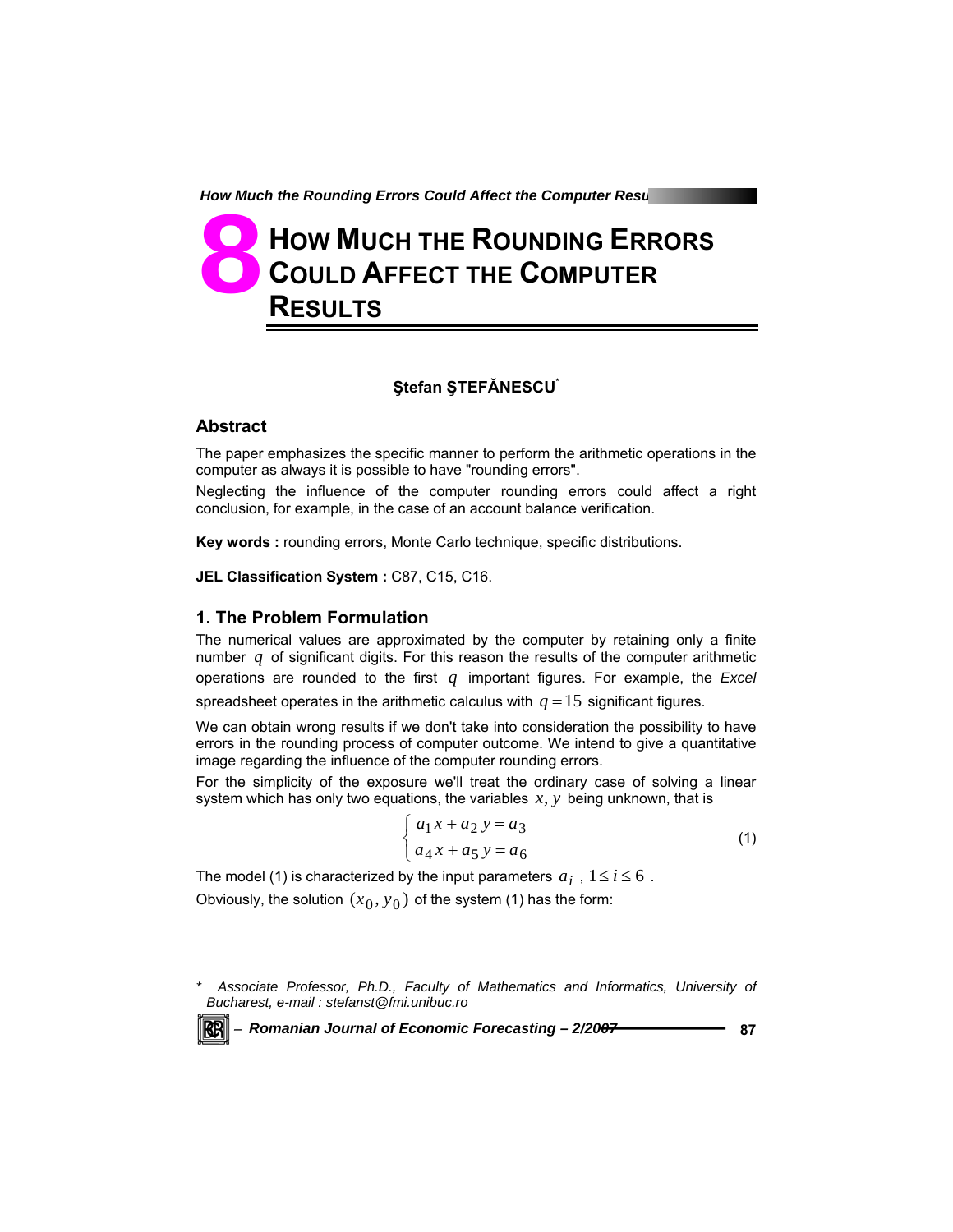# **HOW MUCH THE ROUNDING ERRORS COULD AFFECT THE COMPUTER RESULTS 8**

## **Ştefan ŞTEFĂNESCU**\*

### **Abstract**

The paper emphasizes the specific manner to perform the arithmetic operations in the computer as always it is possible to have "rounding errors".

Neglecting the influence of the computer rounding errors could affect a right conclusion, for example, in the case of an account balance verification.

**Key words :** rounding errors, Monte Carlo technique, specific distributions.

**JEL Classification System :** C87, C15, C16.

#### **1. The Problem Formulation**

The numerical values are approximated by the computer by retaining only a finite number  $q$  of significant digits. For this reason the results of the computer arithmetic operations are rounded to the first *q* important figures. For example, the *Excel* spreadsheet operates in the arithmetic calculus with  $q = 15$  significant figures.

We can obtain wrong results if we don't take into consideration the possibility to have errors in the rounding process of computer outcome. We intend to give a quantitative image regarding the influence of the computer rounding errors.

For the simplicity of the exposure we'll treat the ordinary case of solving a linear system which has only two equations, the variables *x*, *y* being unknown, that is

$$
\begin{cases} a_1 x + a_2 y = a_3 \\ a_4 x + a_5 y = a_6 \end{cases}
$$
 (1)

The model (1) is characterized by the input parameters  $a_i$ ,  $1 \le i \le 6$ . Obviously, the solution  $(x_0, y_0)$  of the system (1) has the form:

l

*<sup>\*</sup> Associate Professor, Ph.D., Faculty of Mathematics and Informatics, University of Bucharest, e-mail : stefanst@fmi.unibuc.ro*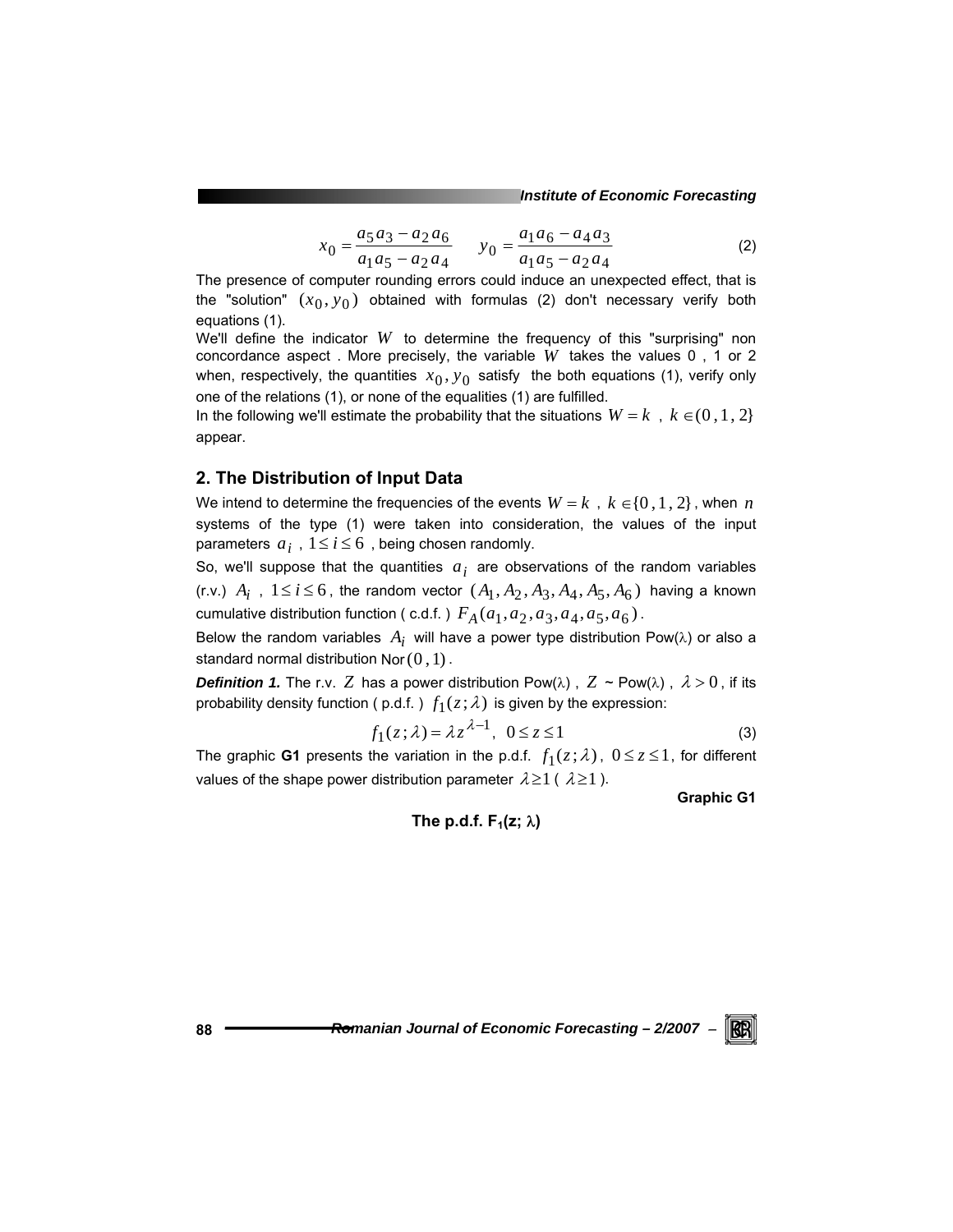*Institute of Economic Forecasting*

$$
x_0 = \frac{a_5 a_3 - a_2 a_6}{a_1 a_5 - a_2 a_4} \qquad y_0 = \frac{a_1 a_6 - a_4 a_3}{a_1 a_5 - a_2 a_4} \tag{2}
$$

The presence of computer rounding errors could induce an unexpected effect, that is the "solution"  $(x_0, y_0)$  obtained with formulas (2) don't necessary verify both equations (1).

We'll define the indicator *W* to determine the frequency of this "surprising" non concordance aspect . More precisely, the variable *W* takes the values 0 , 1 or 2 when, respectively, the quantities  $x_0, y_0$  satisfy the both equations (1), verify only one of the relations (1), or none of the equalities (1) are fulfilled.

In the following we'll estimate the probability that the situations  $W = k$ ,  $k \in (0,1,2)$ appear.

## **2. The Distribution of Input Data**

We intend to determine the frequencies of the events  $W = k$ ,  $k \in \{0, 1, 2\}$ , when *n* systems of the type (1) were taken into consideration, the values of the input parameters  $a_i$ ,  $1 \le i \le 6$ , being chosen randomly.

So, we'll suppose that the quantities  $a_i$  are observations of the random variables (r.v.)  $A_i$ ,  $1 \le i \le 6$ , the random vector  $(A_1, A_2, A_3, A_4, A_5, A_6)$  having a known cumulative distribution function ( c.d.f. )  $F_A(a_1, a_2, a_3, a_4, a_5, a_6)$ .

Below the random variables  $A_i$  will have a power type distribution Pow( $\lambda$ ) or also a standard normal distribution Nor $(0,1)$ .

**Definition 1.** The r.v. Z has a power distribution Pow( $\lambda$ ),  $Z \sim \text{Pow}(\lambda)$ ,  $\lambda > 0$ , if its probability density function ( p.d.f. )  $f_1(z; \lambda)$  is given by the expression:

$$
f_1(z; \lambda) = \lambda z^{\lambda - 1}, \ \ 0 \le z \le 1 \tag{3}
$$

The graphic **G1** presents the variation in the p.d.f.  $f_1(z; \lambda)$ ,  $0 \le z \le 1$ , for different values of the shape power distribution parameter  $\lambda \geq 1$  (  $\lambda \geq 1$  ).

**Graphic G1** 

# **The p.d.f.**  $F_1(z; \lambda)$



88 **<del>Ferrican Bomanian</del>** Journal of Economic Forecasting – 2/2007 –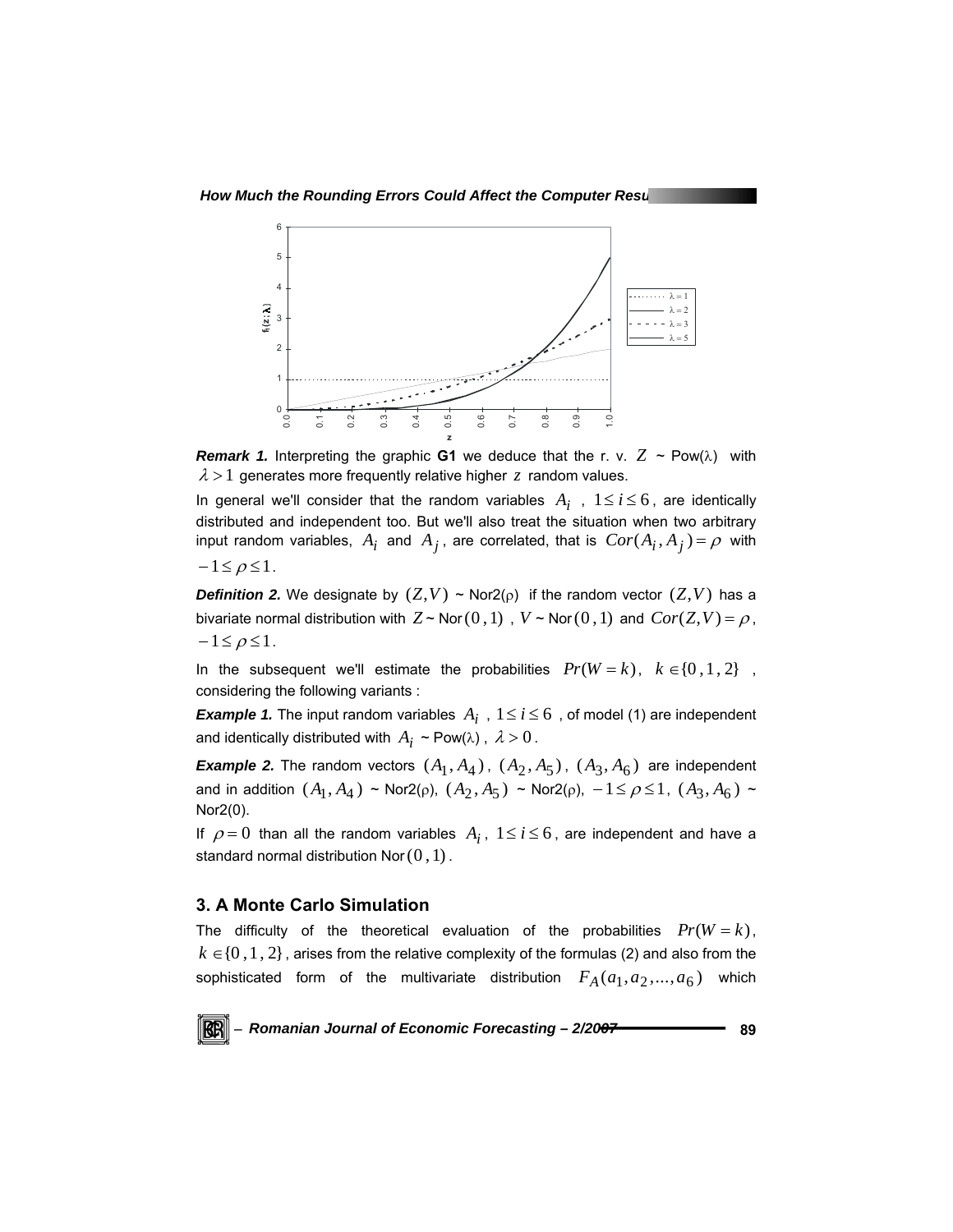

*Remark 1.* Interpreting the graphic **G1** we deduce that the r. v.  $Z \sim \text{Pow}(\lambda)$  with  $\lambda > 1$  generates more frequently relative higher *z* random values.

In general we'll consider that the random variables  $A_i$ ,  $1 \le i \le 6$ , are identically distributed and independent too. But we'll also treat the situation when two arbitrary input random variables,  $A_i$  and  $A_j$ , are correlated, that is  $Cor(A_i, A_j) = \rho$  with  $-1 \leq \rho \leq 1$ .

*Definition 2.* We designate by  $(Z, V) \sim \text{Nor2}(\rho)$  if the random vector  $(Z, V)$  has a bivariate normal distribution with  $Z \sim \text{Nor}(0,1)$ ,  $V \sim \text{Nor}(0,1)$  and  $\text{Cor}(Z, V) = \rho$ ,  $-1 \leq \rho \leq 1$ .

In the subsequent we'll estimate the probabilities  $Pr(W = k)$ ,  $k \in \{0, 1, 2\}$ , considering the following variants :

*Example 1.* The input random variables  $A_i$ ,  $1 \le i \le 6$ , of model (1) are independent and identically distributed with  $A_i \sim \text{Pow}(\lambda)$ ,  $\lambda > 0$ .

*Example 2.* The random vectors  $(A_1, A_4)$ ,  $(A_2, A_5)$ ,  $(A_3, A_6)$  are independent and in addition  $(A_1, A_4) \sim \text{Nor2}(\rho)$ ,  $(A_2, A_5) \sim \text{Nor2}(\rho)$ ,  $-1 \leq \rho \leq 1$ ,  $(A_3, A_6) \sim$ Nor2(0).

If  $\rho = 0$  than all the random variables  $A_i$ ,  $1 \le i \le 6$ , are independent and have a standard normal distribution Nor $(0,1)$ .

#### **3. A Monte Carlo Simulation**

The difficulty of the theoretical evaluation of the probabilities  $Pr(W = k)$ ,  $k \in \{0, 1, 2\}$ , arises from the relative complexity of the formulas (2) and also from the sophisticated form of the multivariate distribution  $F_A(a_1, a_2, ..., a_6)$  which

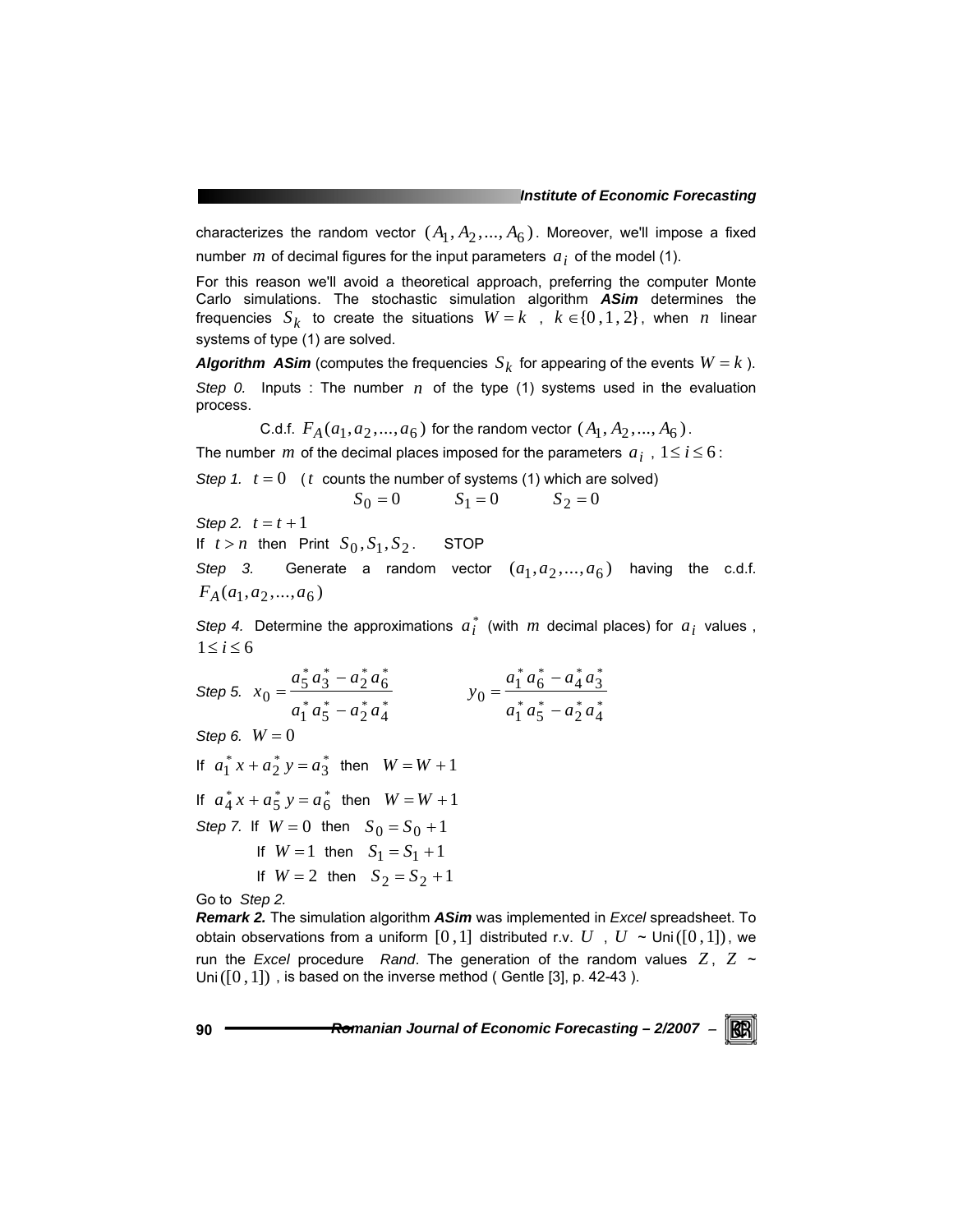characterizes the random vector  $(A_1, A_2, ..., A_6)$ . Moreover, we'll impose a fixed number *m* of decimal figures for the input parameters  $a_i$  of the model (1).

For this reason we'll avoid a theoretical approach, preferring the computer Monte Carlo simulations. The stochastic simulation algorithm *ASim* determines the frequencies  $S_k$  to create the situations  $W = k$ ,  $k \in \{0, 1, 2\}$ , when *n* linear systems of type (1) are solved.

*Algorithm ASim* (computes the frequencies  $S_k$  for appearing of the events  $W = k$ ). *Step 0.* Inputs : The number  $n$  of the type (1) systems used in the evaluation process.

C.d.f.  $F_A(a_1, a_2, ..., a_6)$  for the random vector  $(A_1, A_2, ..., A_6)$ .

The number *m* of the decimal places imposed for the parameters  $a_i$ ,  $1 \le i \le 6$ :

*Step 1.*  $t = 0$  (*t* counts the number of systems (1) which are solved)

$$
S_0 = 0
$$
  $S_1 = 0$   $S_2 = 0$ 

*Step 2.*  $t = t + 1$ 

If  $t > n$  then Print  $S_0, S_1, S_2$ . STOP

*Step 3.* Generate a random vector  $(a_1, a_2, ..., a_6)$  having the c.d.f.  $F_A(a_1, a_2, \ldots, a_6)$ 

Step 4. Determine the approximations  $a_i^*$  (with  $m$  decimal places) for  $a_i$  values,  $1 \leq i \leq 6$ 

Step 5. 
$$
x_0 = \frac{a_5^* a_3^* - a_2^* a_6^*}{a_1^* a_5^* - a_2^* a_4^*}
$$
  $y_0 = \frac{a_1^* a_6^* - a_4^* a_3^*}{a_1^* a_5^* - a_2^* a_4^*}$   
\nStep 6.  $W = 0$   
\nIf  $a_1^* x + a_2^* y = a_3^*$  then  $W = W + 1$   
\nIf  $a_4^* x + a_5^* y = a_6^*$  then  $W = W + 1$   
\nStep 7. If  $W = 0$  then  $S_0 = S_0 + 1$   
\nIf  $W = 1$  then  $S_1 = S_1 + 1$   
\nIf  $W = 2$  then  $S_2 = S_2 + 1$   
\nGo to Step 2.

*Remark 2.* The simulation algorithm *ASim* was implemented in *Excel* spreadsheet. To obtain observations from a uniform  $[0,1]$  distributed r.v.  $U$ ,  $U \sim$  Uni $([0,1])$ , we run the *Excel* procedure *Rand*. The generation of the random values  $Z$ ,  $Z \sim$ Uni( $[0, 1]$ ), is based on the inverse method ( Gentle [3], p. 42-43 ).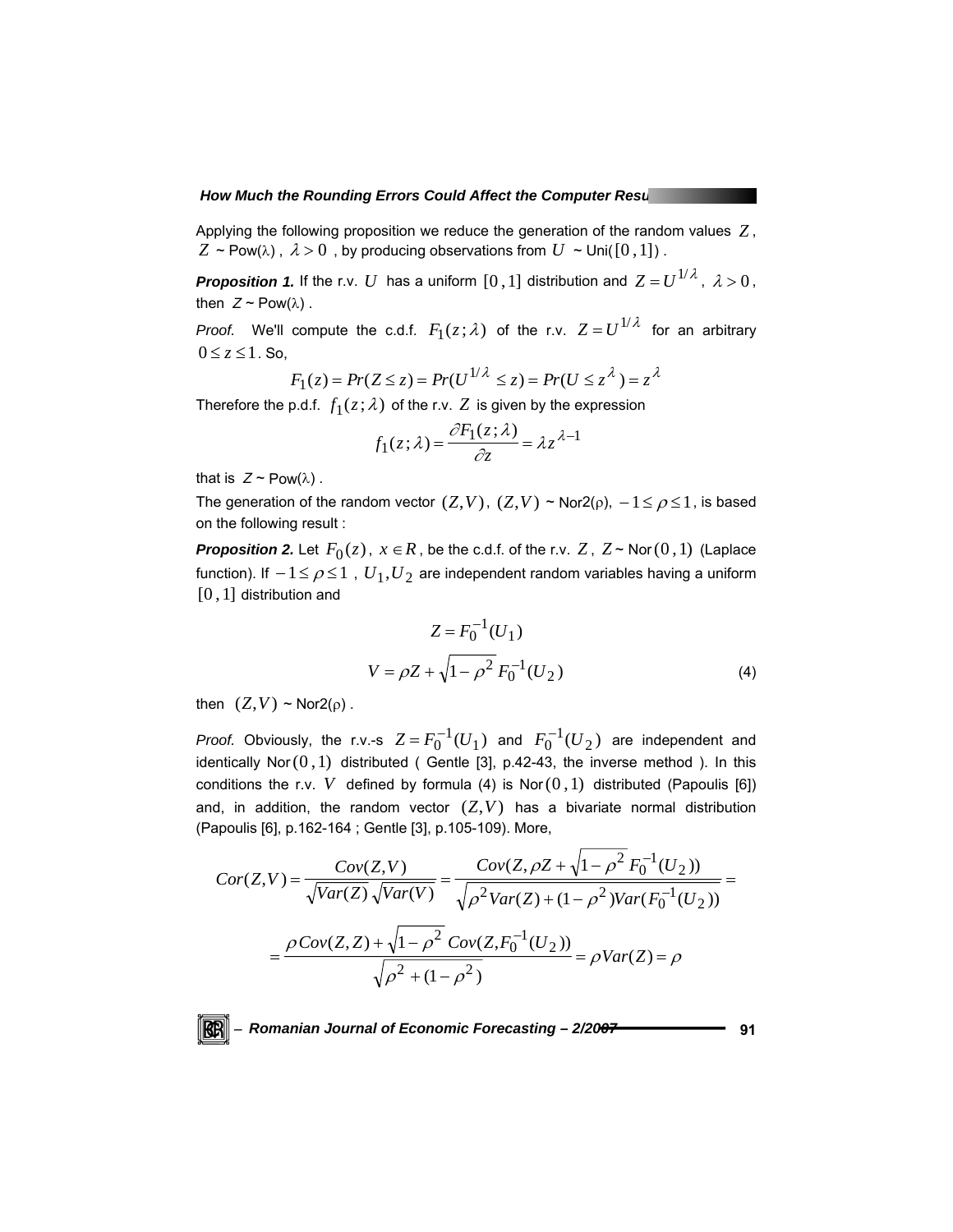#### **How Much the Rounding Errors Could Affect the Computer Results**

Applying the following proposition we reduce the generation of the random values *Z* ,  $Z \sim \text{Pow}(\lambda)$ ,  $\lambda > 0$ , by producing observations from  $U \sim \text{Uni}([0,1])$ .

*Proposition 1.* If the r.v. *U* has a uniform  $[0,1]$  distribution and  $Z = U^{1/\lambda}$ ,  $\lambda > 0$ , then  $Z \sim \text{Pow}(\lambda)$ .

*Proof.* We'll compute the c.d.f.  $F_1(z; \lambda)$  of the r.v.  $Z = U^{1/\lambda}$  for an arbitrary  $0 \le z \le 1$ . So,

$$
F_1(z) = Pr(Z \le z) = Pr(U^{1/\lambda} \le z) = Pr(U \le z^{\lambda}) = z^{\lambda}
$$

Therefore the p.d.f.  $f_1(z; \lambda)$  of the r.v.  $Z$  is given by the expression

$$
f_1(z;\lambda) = \frac{\partial F_1(z;\lambda)}{\partial z} = \lambda z^{\lambda - 1}
$$

that is  $Z \sim \text{Pow}(\lambda)$ .

The generation of the random vector  $(Z, V)$ ,  $(Z, V)$  ~ Nor2( $\rho$ ),  $-1 \leq \rho \leq 1$ , is based on the following result :

*Proposition 2.* Let  $F_0(z)$ ,  $x \in R$ , be the c.d.f. of the r.v.  $Z$ ,  $Z \sim \text{Nor}(0,1)$  (Laplace function). If  $-1 \leq \rho \leq 1$ ,  $U_1, U_2$  are independent random variables having a uniform  $[0, 1]$  distribution and

$$
Z = F_0^{-1}(U_1)
$$
  

$$
V = \rho Z + \sqrt{1 - \rho^2} F_0^{-1}(U_2)
$$
 (4)

then  $(Z, V) \sim \text{Nor2}(\rho)$ .

*Proof.* Obviously, the r.v.-s  $Z = F_0^{-1}(U_1)$  and  $F_0^{-1}(U_2)$  are independent and identically Nor $(0,1)$  distributed ( Gentle [3], p.42-43, the inverse method ). In this conditions the r.v. *V* defined by formula (4) is Nor $(0,1)$  distributed (Papoulis [6]) and, in addition, the random vector  $(Z, V)$  has a bivariate normal distribution (Papoulis [6], p.162-164 ; Gentle [3], p.105-109). More,

$$
Cor(Z,V) = \frac{Cov(Z,V)}{\sqrt{Var(Z)}\sqrt{Var(V)}} = \frac{Cov(Z,\rho Z + \sqrt{1-\rho^2}F_0^{-1}(U_2))}{\sqrt{\rho^2 Var(Z) + (1-\rho^2)Var(F_0^{-1}(U_2))}}
$$

$$
= \frac{\rho Cov(Z,Z) + \sqrt{1-\rho^2} Cov(Z,F_0^{-1}(U_2))}{\sqrt{\rho^2 + (1-\rho^2)}} = \rho Var(Z) = \rho
$$

KBI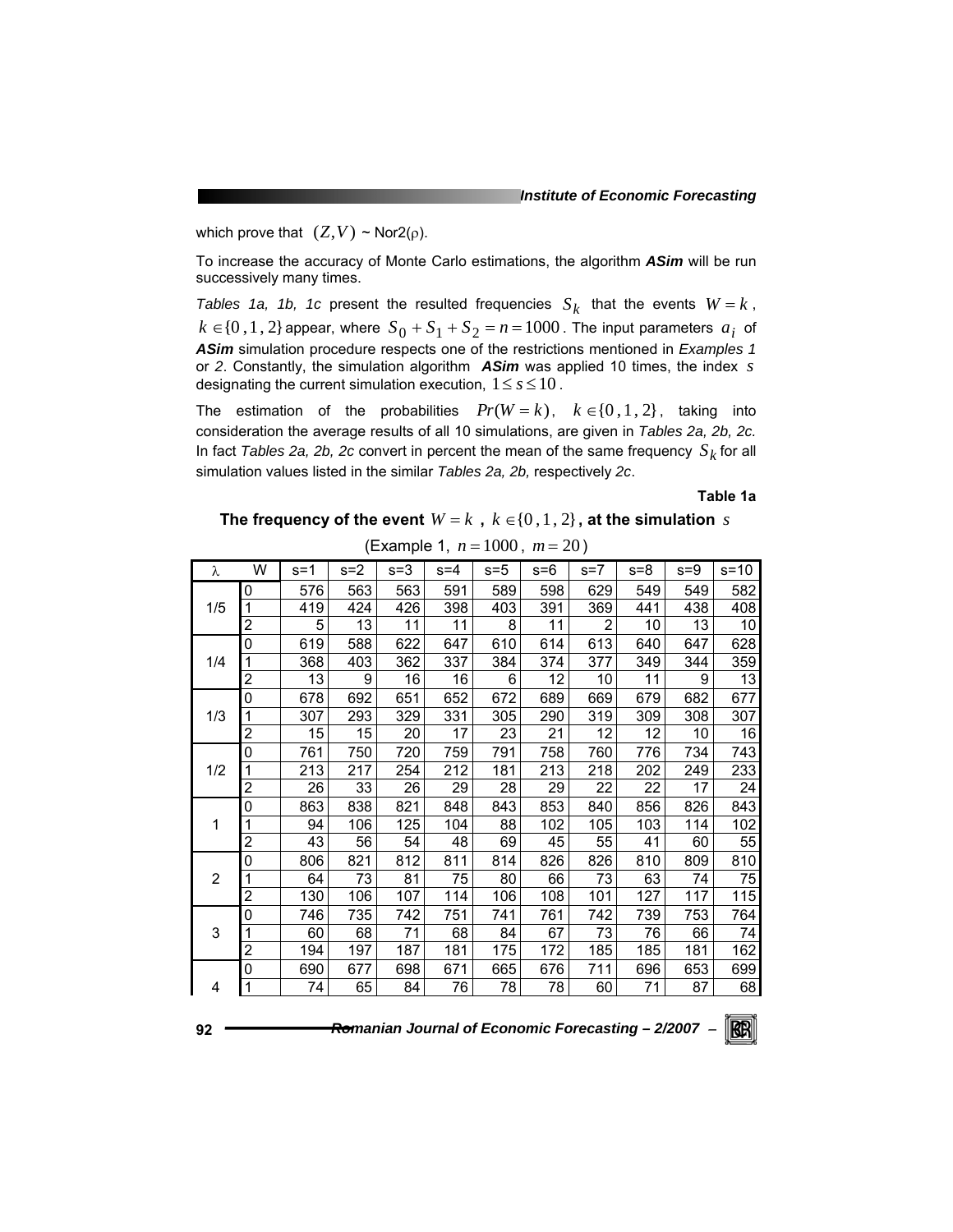which prove that  $(Z, V) \sim \text{Nor2}(\rho)$ .

To increase the accuracy of Monte Carlo estimations, the algorithm *ASim* will be run successively many times.

*Tables 1a, 1b, 1c* present the resulted frequencies  $S_k$  that the events  $W = k$ ,  $k \in \{0, 1, 2\}$  appear, where  $S_0 + S_1 + S_2 = n = 1000$ . The input parameters  $a_i$  of *ASim* simulation procedure respects one of the restrictions mentioned in *Examples 1*  or *2*. Constantly, the simulation algorithm *ASim* was applied 10 times, the index *s* designating the current simulation execution,  $1 \leq s \leq 10$ .

The estimation of the probabilities  $Pr(W = k)$ ,  $k \in \{0, 1, 2\}$ , taking into consideration the average results of all 10 simulations, are given in *Tables 2a, 2b, 2c.* In fact *Tables 2a, 2b, 2c* convert in percent the mean of the same frequency  $S_k$  for all simulation values listed in the similar *Tables 2a, 2b,* respectively *2c*.

**Table 1a** 

**The frequency of the event**  $W = k$ ,  $k \in \{0, 1, 2\}$ , at the simulation *s* 

| λ              | W | $s = 1$ | $s = 2$ | $s = 3$ | $s = 4$ | $s = 5$ | $s = 6$ | $s=7$          | $s = 8$ | $s = 9$ | $s = 10$        |
|----------------|---|---------|---------|---------|---------|---------|---------|----------------|---------|---------|-----------------|
|                | 0 | 576     | 563     | 563     | 591     | 589     | 598     | 629            | 549     | 549     | 582             |
| 1/5            |   | 419     | 424     | 426     | 398     | 403     | 391     | 369            | 441     | 438     | 408             |
|                | 2 | 5       | 13      | 11      | 11      | 8       | 11      | $\overline{2}$ | 10      | 13      | 10              |
|                | 0 | 619     | 588     | 622     | 647     | 610     | 614     | 613            | 640     | 647     | 628             |
| 1/4            |   | 368     | 403     | 362     | 337     | 384     | 374     | 377            | 349     | 344     | 359             |
|                | 2 | 13      | 9       | 16      | 16      | 6       | 12      | 10             | 11      | 9       | 13              |
|                | 0 | 678     | 692     | 651     | 652     | 672     | 689     | 669            | 679     | 682     | 677             |
| 1/3            | 1 | 307     | 293     | 329     | 331     | 305     | 290     | 319            | 309     | 308     | 307             |
|                | 2 | 15      | 15      | 20      | 17      | 23      | 21      | 12             | 12      | 10      | 16              |
|                | 0 | 761     | 750     | 720     | 759     | 791     | 758     | 760            | 776     | 734     | 743             |
| 1/2            | 1 | 213     | 217     | 254     | 212     | 181     | 213     | 218            | 202     | 249     | 233             |
|                | 2 | 26      | 33      | 26      | 29      | 28      | 29      | 22             | 22      | 17      | 24              |
|                | 0 | 863     | 838     | 821     | 848     | 843     | 853     | 840            | 856     | 826     | 843             |
| 1              |   | 94      | 106     | 125     | 104     | 88      | 102     | 105            | 103     | 114     | 102             |
|                | 2 | 43      | 56      | 54      | 48      | 69      | 45      | 55             | 41      | 60      | $\overline{55}$ |
|                | 0 | 806     | 821     | 812     | 811     | 814     | 826     | 826            | 810     | 809     | 810             |
| $\overline{2}$ |   | 64      | 73      | 81      | 75      | 80      | 66      | 73             | 63      | 74      | 75              |
|                | 2 | 130     | 106     | 107     | 114     | 106     | 108     | 101            | 127     | 117     | 115             |
|                | 0 | 746     | 735     | 742     | 751     | 741     | 761     | 742            | 739     | 753     | 764             |
| 3              | 1 | 60      | 68      | 71      | 68      | 84      | 67      | 73             | 76      | 66      | 74              |
|                | 2 | 194     | 197     | 187     | 181     | 175     | 172     | 185            | 185     | 181     | 162             |
|                | 0 | 690     | 677     | 698     | 671     | 665     | 676     | 711            | 696     | 653     | 699             |
| 4              | 1 | 74      | 65      | 84      | 76      | 78      | 78      | 60             | 71      | 87      | 68              |

$$
-[\mathbf{F}]
$$

**92 ──────────Romanian Journal of Economic Forecasting – 2/2007**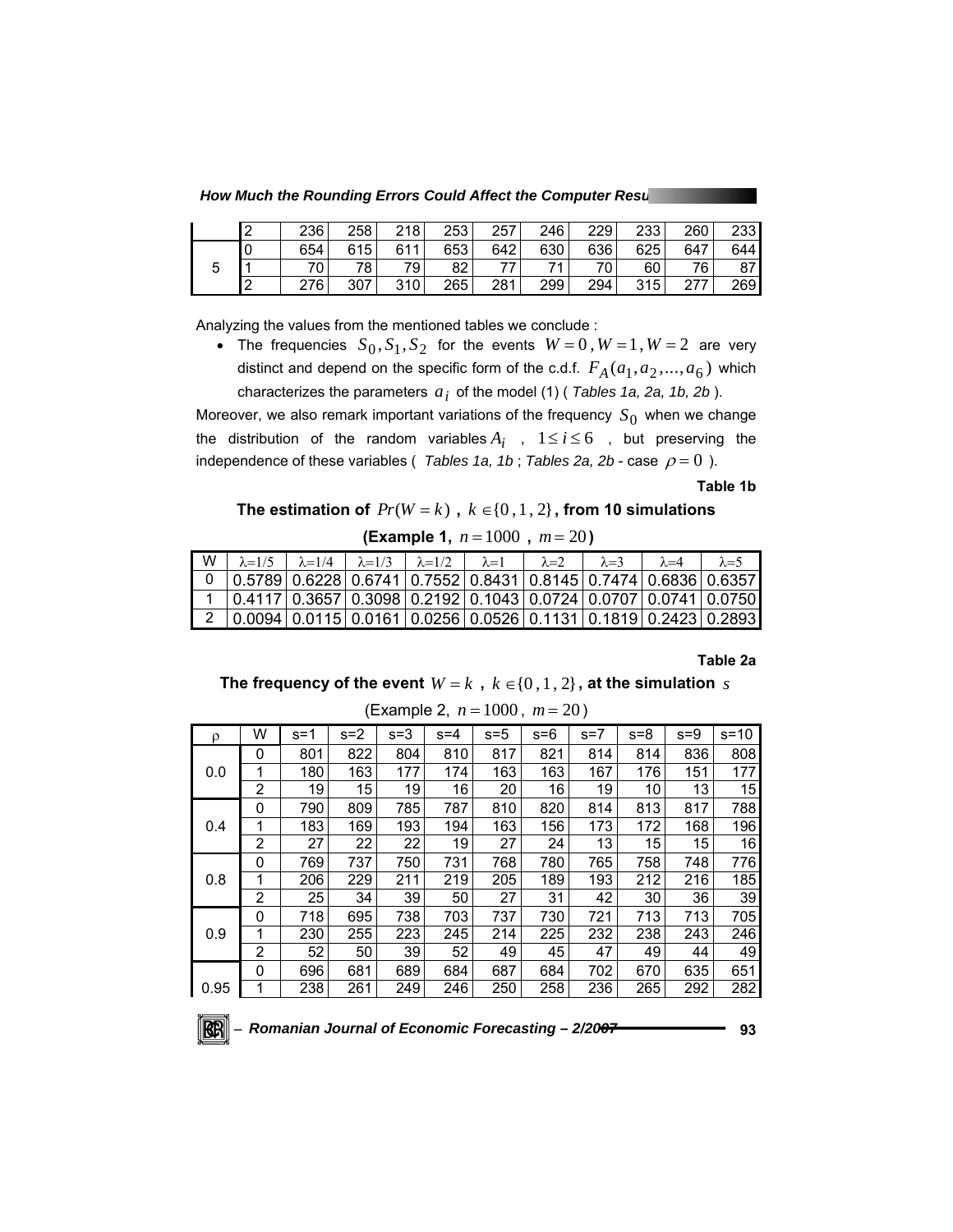**How Much the Rounding Errors Could Affect the Computer Results** 

|   | 236      | 258 | 218 | 253 | 257 | 246 | 229 | 233 | 260  | 233   |
|---|----------|-----|-----|-----|-----|-----|-----|-----|------|-------|
| ັ | 654      | 615 | 611 | 653 | 642 | 630 | 636 | 625 | 647  | 644 l |
|   | 70<br>ึ∪ | 78  | 79  | 82  | ララ  | 74  | 70  | 60  | 76   | 87    |
|   | 276      | 307 | 310 | 265 | 281 | 299 | 294 | 315 | 21 I | 269   |

Analyzing the values from the mentioned tables we conclude :

• The frequencies  $S_0$ ,  $S_1$ ,  $S_2$  for the events  $W=0$ ,  $W=1$ ,  $W=2$  are very distinct and depend on the specific form of the c.d.f.  $F_A(a_1, a_2, ..., a_6)$  which characterizes the parameters  $a_i$  of the model (1) (*Tables 1a, 2a, 1b, 2b*).

Moreover, we also remark important variations of the frequency  $S_0$  when we change the distribution of the random variables  $A_i$ ,  $1 \le i \le 6$ , but preserving the independence of these variables (*Tables 1a, 1b*; Tables 2a, 2b - case  $\rho = 0$ ).

**Table 1b** 

**The estimation of**  $Pr(W = k)$ ,  $k \in \{0, 1, 2\}$ , from 10 simulations

 **(Example 1,** *n* = 1000 **,** *m* = 20 **)**

| W | $\lambda = 1/5$                                                                    | $\lambda=1/4$ $\lambda=1/3$ | $\lambda = 1/2$                                                                | $\lambda = 1$ | $\lambda = 2$ | $\lambda = 3$ | $\lambda = 4$ | $\lambda = 5$ |
|---|------------------------------------------------------------------------------------|-----------------------------|--------------------------------------------------------------------------------|---------------|---------------|---------------|---------------|---------------|
|   |                                                                                    |                             | 0.5789   0.6228   0.6741   0.7552   0.8431   0.8145   0.7474   0.6836   0.6357 |               |               |               |               |               |
|   | $(0.4117)$ 0.3657 0.3098 0.2192 0.1043 0.0724 0.0707 0.0741 0.0750                 |                             |                                                                                |               |               |               |               |               |
|   | $(0.0094   0.0115   0.0161   0.0256   0.0526   0.1131   0.1819   0.2423   0.2893)$ |                             |                                                                                |               |               |               |               |               |

**Table 2a** 

**The frequency of the event**  $W = k$ ,  $k \in \{0, 1, 2\}$ , at the simulation *s* 

| ρ    | W        | $s = 1$ | $s = 2$ | $s = 3$ | $s = 4$ | $s = 5$ | $s = 6$ | $s=7$ | $s = 8$ | $s = 9$ | $s = 10$ |
|------|----------|---------|---------|---------|---------|---------|---------|-------|---------|---------|----------|
|      | 0        | 801     | 822     | 804     | 810     | 817     | 821     | 814   | 814     | 836     | 808      |
| 0.0  | 1        | 180     | 163     | 177     | 174     | 163     | 163     | 167   | 176     | 151     | 177      |
|      | 2        | 19      | 15      | 19      | 16      | 20      | 16      | 19    | 10      | 13      | 15       |
|      | 0        | 790     | 809     | 785     | 787     | 810     | 820     | 814   | 813     | 817     | 788      |
| 0.4  | 1        | 183     | 169     | 193     | 194     | 163     | 156     | 173   | 172     | 168     | 196      |
|      | 2        | 27      | 22      | 22      | 19      | 27      | 24      | 13    | 15      | 15      | 16       |
|      | 0        | 769     | 737     | 750     | 731     | 768     | 780     | 765   | 758     | 748     | 776      |
| 0.8  | 1        | 206     | 229     | 211     | 219     | 205     | 189     | 193   | 212     | 216     | 185      |
|      | 2        | 25      | 34      | 39      | 50      | 27      | 31      | 42    | 30      | 36      | 39       |
|      | 0        | 718     | 695     | 738     | 703     | 737     | 730     | 721   | 713     | 713     | 705      |
| 0.9  | 1        | 230     | 255     | 223     | 245     | 214     | 225     | 232   | 238     | 243     | 246      |
|      | 2        | 52      | 50      | 39      | 52      | 49      | 45      | 47    | 49      | 44      | 49       |
|      | $\Omega$ | 696     | 681     | 689     | 684     | 687     | 684     | 702   | 670     | 635     | 651      |
| 0.95 |          | 238     | 261     | 249     | 246     | 250     | 258     | 236   | 265     | 292     | 282      |

(Example 2, 
$$
n = 1000
$$
,  $m = 20$ )

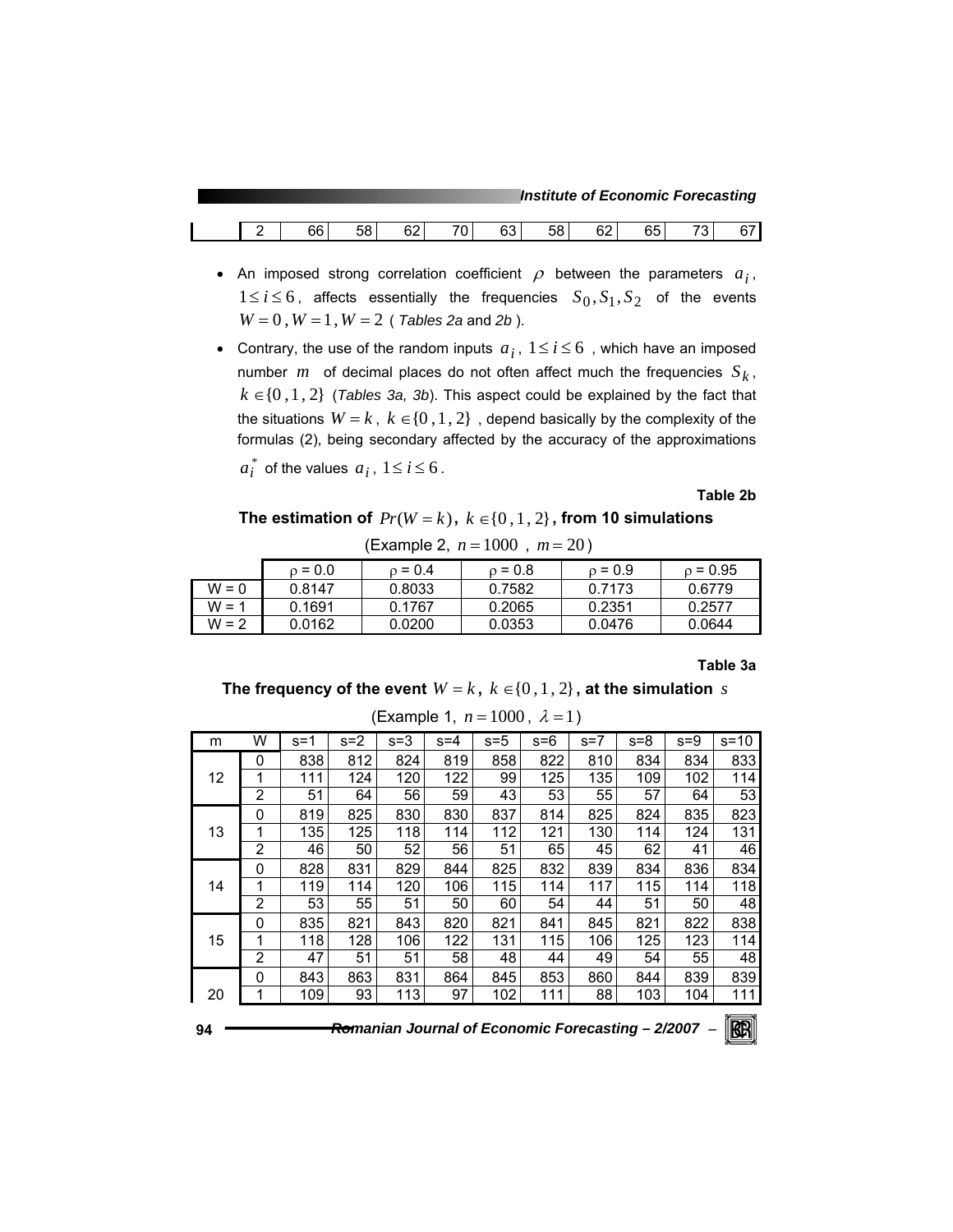*Institute of Economic Forecasting*

|  | 66 | $-1$<br>. .<br><br>- 70 | 60<br>υ∠ | $\overline{\phantom{a}}$<br>ັ | 62<br>υu | - -<br>აგ | $\sim$<br>σZ<br>-- | $\sim$ $-$<br>ხე | $\overline{\phantom{a}}$ | ີ |
|--|----|-------------------------|----------|-------------------------------|----------|-----------|--------------------|------------------|--------------------------|---|
|  |    |                         |          |                               |          |           |                    |                  |                          |   |

- An imposed strong correlation coefficient  $\rho$  between the parameters  $a_i$ ,  $1 \le i \le 6$ , affects essentially the frequencies  $S_0, S_1, S_2$  of the events  $W = 0$ ,  $W = 1$ ,  $W = 2$  (*Tables 2a* and *2b*).
- Contrary, the use of the random inputs  $a_i$ ,  $1 \le i \le 6$ , which have an imposed number *m* of decimal places do not often affect much the frequencies  $S_k$ ,  $k \in \{0, 1, 2\}$  (*Tables 3a, 3b*). This aspect could be explained by the fact that the situations  $W = k$ ,  $k \in \{0, 1, 2\}$ , depend basically by the complexity of the formulas (2), being secondary affected by the accuracy of the approximations

 $a_i^*$  of the values  $a_i$ ,  $1 \le i \le 6$ .

**Table 2b** 

The estimation of  $Pr(W = k)$ ,  $k \in \{0, 1, 2\}$ , from 10 simulations

|         | $_0 = 0.0$ | $0 = 0.4$ | $0 = 0.8$ | $o = 0.9$ | $\rho = 0.95$ |
|---------|------------|-----------|-----------|-----------|---------------|
| $W = 0$ | 0.8147     | 0.8033    | 0.7582    | 0.7173    | 0.6779        |
| $W = 1$ | 0.1691     | 0.1767    | 0.2065    | 0.2351    | 0.2577        |
| $W = 2$ | 0.0162     | 0.0200    | 0.0353    | 0.0476    | 0.0644        |

(Example 2, *n* = 1000 , *m* = 20 )

**Table 3a** 

**The frequency of the event**  $W = k$ ,  $k \in \{0, 1, 2\}$ , at the simulation *s* 

| m  | W              | $s = 1$ | $s = 2$ | $s = 3$ | $s = 4$ | $s=5$ | $s = 6$ | $s=7$ | $s = 8$ | $s = 9$ | $s = 10$ |
|----|----------------|---------|---------|---------|---------|-------|---------|-------|---------|---------|----------|
|    | 0              | 838     | 812     | 824     | 819     | 858   | 822     | 810   | 834     | 834     | 833      |
| 12 | 1              | 111     | 124     | 120     | 122     | 99    | 125     | 135   | 109     | 102     | 114      |
|    | $\overline{2}$ | 51      | 64      | 56      | 59      | 43    | 53      | 55    | 57      | 64      | 53       |
|    | 0              | 819     | 825     | 830     | 830     | 837   | 814     | 825   | 824     | 835     | 823      |
| 13 | 1              | 135     | 125     | 118     | 114     | 112   | 121     | 130   | 114     | 124     | 131      |
|    | 2              | 46      | 50      | 52      | 56      | 51    | 65      | 45    | 62      | 41      | 46       |
|    | 0              | 828     | 831     | 829     | 844     | 825   | 832     | 839   | 834     | 836     | 834      |
| 14 | 1              | 119     | 114     | 120     | 106     | 115   | 114     | 117   | 115     | 114     | 118      |
|    | $\overline{2}$ | 53      | 55      | 51      | 50      | 60    | 54      | 44    | 51      | 50      | 48       |
|    | 0              | 835     | 821     | 843     | 820     | 821   | 841     | 845   | 821     | 822     | 838      |
| 15 | 1              | 118     | 128     | 106     | 122     | 131   | 115     | 106   | 125     | 123     | 114      |
|    | 2              | 47      | 51      | 51      | 58      | 48    | 44      | 49    | 54      | 55      | 48       |
|    | 0              | 843     | 863     | 831     | 864     | 845   | 853     | 860   | 844     | 839     | 839      |
| 20 | 1              | 109     | 93      | 113     | 97      | 102   | 111     | 88    | 103     | 104     | 111      |
|    |                |         |         |         |         |       |         |       |         |         | $-$      |

(Example 1, 
$$
n = 1000
$$
,  $\lambda = 1$ )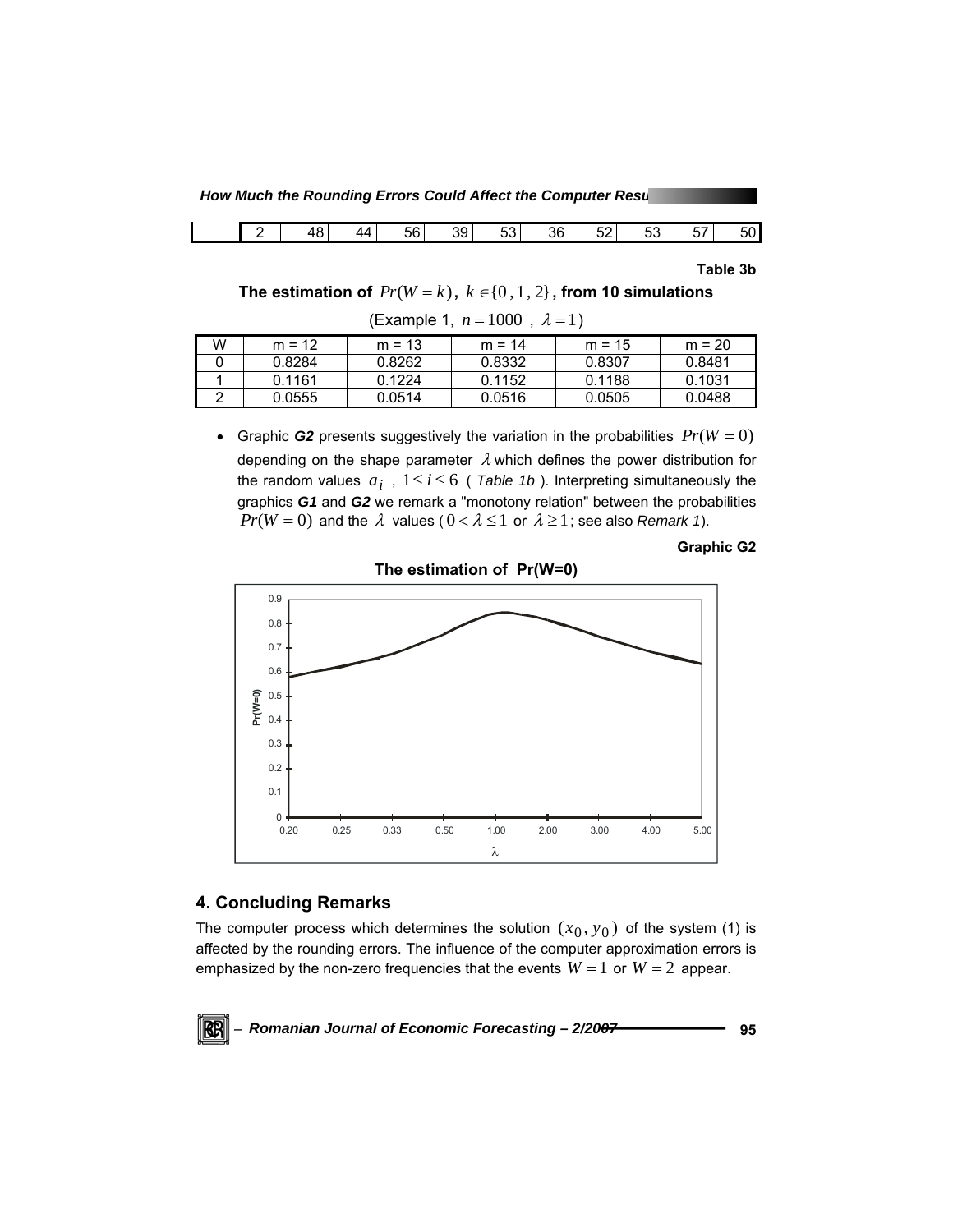**How Much the Rounding Errors Could Affect the Computer Results** 

|  | 48<br>∼ | 44 | 56 | 39 | $\sim$<br>53 | 36 | -0<br>52 | $\sim$<br>vu | $- -$<br>57 | 50 |
|--|---------|----|----|----|--------------|----|----------|--------------|-------------|----|
|  |         |    |    |    |              |    |          |              |             |    |

**Table 3b** 

**The estimation of**  $Pr(W = k)$ ,  $k \in \{0, 1, 2\}$ , from 10 simulations

(Example 1,  $n = 1000$ ,  $\lambda = 1$ )

| W | $m = 12$ | $m = 13$ | $m = 14$ | $m = 15$ | $m = 20$ |
|---|----------|----------|----------|----------|----------|
|   | 0.8284   | 0.8262   | 0.8332   | 0.8307   | 0.8481   |
|   | 0.1161   | 0.1224   | 0.1152   | 0.1188   | 0.1031   |
|   | 0.0555   | 0.0514   | 0.0516   | 0.0505   | 0.0488   |

• Graphic **G2** presents suggestively the variation in the probabilities  $Pr(W = 0)$ depending on the shape parameter  $\lambda$  which defines the power distribution for the random values  $a_i$ ,  $1 \le i \le 6$  (*Table 1b*). Interpreting simultaneously the graphics *G1* and *G2* we remark a "monotony relation" between the probabilities *Pr*( $W = 0$ ) and the  $\lambda$  values ( $0 < \lambda \le 1$  or  $\lambda \ge 1$ ; see also *Remark 1*).





# **4. Concluding Remarks**

KBI

The computer process which determines the solution  $(x_0, y_0)$  of the system (1) is affected by the rounding errors. The influence of the computer approximation errors is emphasized by the non-zero frequencies that the events  $W = 1$  or  $W = 2$  appear.